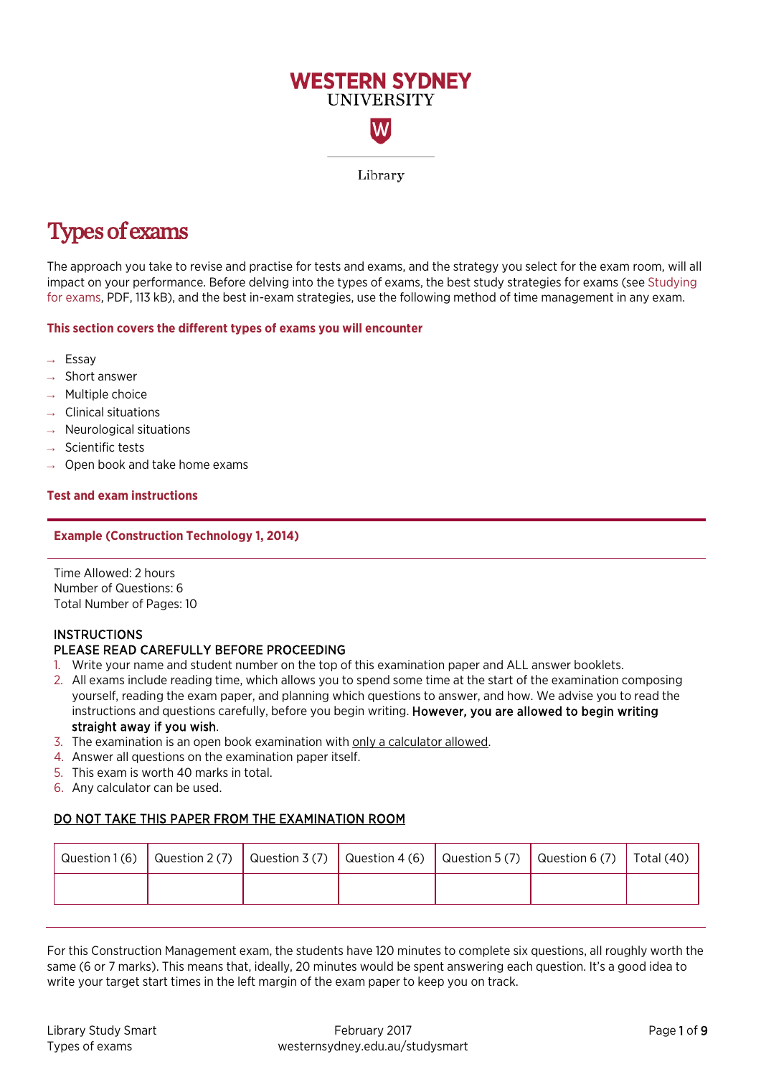

# Types of exams

The approach you take to revise and practise for tests and exams, and the strategy you select for the exam room, will all impact on your performance. Before delving into the types of exams, the best study strategies for exams (see [Studying](https://westernsydney.edu.au/__data/assets/pdf_file/0019/1082800/Studying_for_exams.pdf)  [for exams,](https://westernsydney.edu.au/__data/assets/pdf_file/0019/1082800/Studying_for_exams.pdf) PDF, 113 kB), and the best in-exam strategies, use the following method of time management in any exam.

#### **This section covers the different types of exams you will encounter**

- → Essay
- $\rightarrow$  Short answer
- Multiple choice
- **Clinical situations**
- Neurological situations
- Scientific tests
- Open book and take home exams

#### **Test and exam instructions**

#### **Example (Construction Technology 1, 2014)**

Time Allowed: 2 hours Number of Questions: 6 Total Number of Pages: 10

## **INSTRUCTIONS**

## PLEASE READ CAREFULLY BEFORE PROCEEDING

- 1. Write your name and student number on the top of this examination paper and ALL answer booklets.
- 2. All exams include reading time, which allows you to spend some time at the start of the examination composing yourself, reading the exam paper, and planning which questions to answer, and how. We advise you to read the instructions and questions carefully, before you begin writing. However, you are allowed to begin writing straight away if you wish.
- 3. The examination is an open book examination with only a calculator allowed.
- 4. Answer all questions on the examination paper itself.
- 5. This exam is worth 40 marks in total.
- 6. Any calculator can be used.

## DO NOT TAKE THIS PAPER FROM THE EXAMINATION ROOM

|  | Question 1(6) $\vert$ Question 2(7) $\vert$ Question 3(7) $\vert$ Question 4(6) $\vert$ Question 5(7) $\vert$ Question 6(7) $\vert$ Total (40) |  |  |
|--|------------------------------------------------------------------------------------------------------------------------------------------------|--|--|
|  |                                                                                                                                                |  |  |

For this Construction Management exam, the students have 120 minutes to complete six questions, all roughly worth the same (6 or 7 marks). This means that, ideally, 20 minutes would be spent answering each question. It's a good idea to write your target start times in the left margin of the exam paper to keep you on track.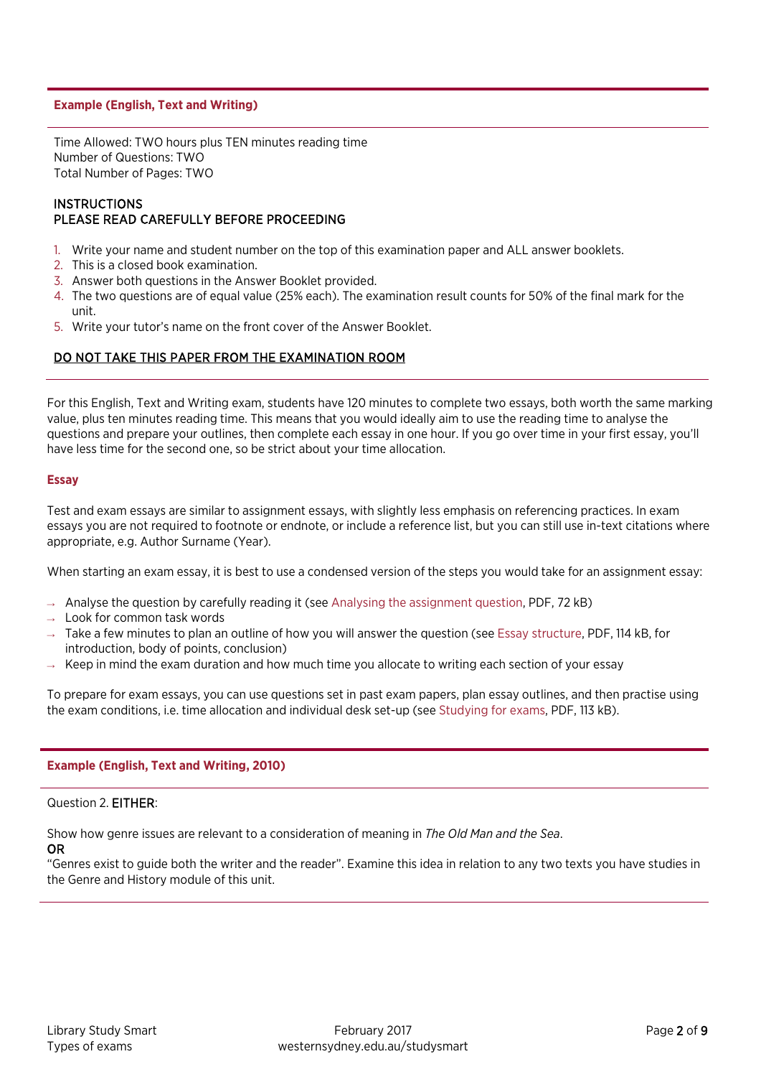#### **Example (English, Text and Writing)**

Time Allowed: TWO hours plus TEN minutes reading time Number of Questions: TWO Total Number of Pages: TWO

#### **INSTRUCTIONS** PLEASE READ CAREFULLY BEFORE PROCEEDING

- 1. Write your name and student number on the top of this examination paper and ALL answer booklets.
- 2. This is a closed book examination.
- 3. Answer both questions in the Answer Booklet provided.
- 4. The two questions are of equal value (25% each). The examination result counts for 50% of the final mark for the unit.
- 5. Write your tutor's name on the front cover of the Answer Booklet.

### DO NOT TAKE THIS PAPER FROM THE EXAMINATION ROOM

For this English, Text and Writing exam, students have 120 minutes to complete two essays, both worth the same marking value, plus ten minutes reading time. This means that you would ideally aim to use the reading time to analyse the questions and prepare your outlines, then complete each essay in one hour. If you go over time in your first essay, you'll have less time for the second one, so be strict about your time allocation.

#### **Essay**

Test and exam essays are similar to assignment essays, with slightly less emphasis on referencing practices. In exam essays you are not required to footnote or endnote, or include a reference list, but you can still use in-text citations where appropriate, e.g. Author Surname (Year).

When starting an exam essay, it is best to use a condensed version of the steps you would take for an assignment essay:

- $\rightarrow$  Analyse the question by carefully reading it (see [Analysing the assignment question,](https://westernsydney.edu.au/__data/assets/pdf_file/0019/1082422/Analysing_the_assignment_question.pdf) PDF, 72 kB)
- $\rightarrow$  Look for common task words
- $\rightarrow$  Take a few minutes to plan an outline of how you will answer the question (se[e Essay structure,](https://westernsydney.edu.au/__data/assets/pdf_file/0016/1082500/Essay_Structure.pdf) PDF, 114 kB, for introduction, body of points, conclusion)
- $\rightarrow$  Keep in mind the exam duration and how much time you allocate to writing each section of your essay

To prepare for exam essays, you can use questions set in past exam papers, plan essay outlines, and then practise using the exam conditions, i.e. time allocation and individual desk set-up (se[e Studying for exams,](https://westernsydney.edu.au/__data/assets/pdf_file/0019/1082800/Studying_for_exams.pdf) PDF, 113 kB).

#### **Example (English, Text and Writing, 2010)**

#### Question 2. EITHER:

Show how genre issues are relevant to a consideration of meaning in *The Old Man and the Sea*. OR

"Genres exist to guide both the writer and the reader". Examine this idea in relation to any two texts you have studies in the Genre and History module of this unit.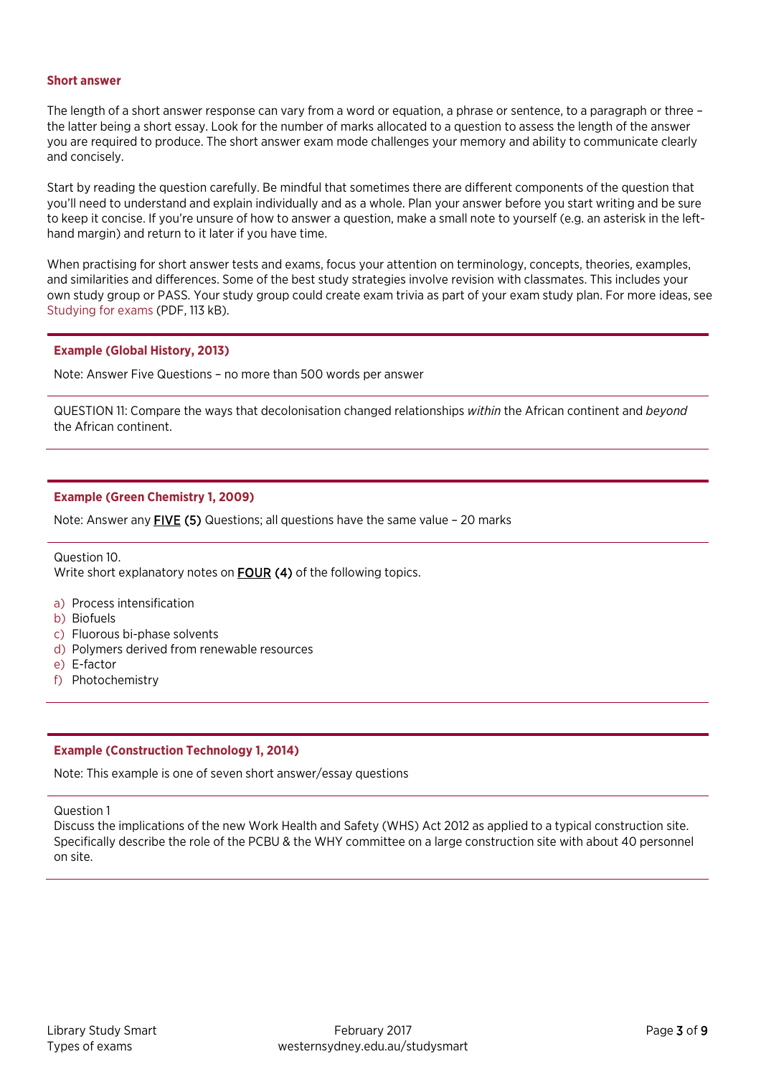#### **Short answer**

The length of a short answer response can vary from a word or equation, a phrase or sentence, to a paragraph or three – the latter being a short essay. Look for the number of marks allocated to a question to assess the length of the answer you are required to produce. The short answer exam mode challenges your memory and ability to communicate clearly and concisely.

Start by reading the question carefully. Be mindful that sometimes there are different components of the question that you'll need to understand and explain individually and as a whole. Plan your answer before you start writing and be sure to keep it concise. If you're unsure of how to answer a question, make a small note to yourself (e.g. an asterisk in the lefthand margin) and return to it later if you have time.

When practising for short answer tests and exams, focus your attention on terminology, concepts, theories, examples, and similarities and differences. Some of the best study strategies involve revision with classmates. This includes your own study group or PASS. Your study group could create exam trivia as part of your exam study plan. For more ideas, see [Studying for exams](https://westernsydney.edu.au/__data/assets/pdf_file/0019/1082800/Studying_for_exams.pdf) (PDF, 113 kB).

#### **Example (Global History, 2013)**

Note: Answer Five Questions – no more than 500 words per answer

QUESTION 11: Compare the ways that decolonisation changed relationships *within* the African continent and *beyond* the African continent.

#### **Example (Green Chemistry 1, 2009)**

Note: Answer any FIVE (5) Questions; all questions have the same value – 20 marks

Question 10. Write short explanatory notes on **FOUR (4)** of the following topics.

- a) Process intensification
- b) Biofuels
- c) Fluorous bi-phase solvents
- d) Polymers derived from renewable resources
- e) E-factor
- f) Photochemistry

#### **Example (Construction Technology 1, 2014)**

Note: This example is one of seven short answer/essay questions

Question 1

Discuss the implications of the new Work Health and Safety (WHS) Act 2012 as applied to a typical construction site. Specifically describe the role of the PCBU & the WHY committee on a large construction site with about 40 personnel on site.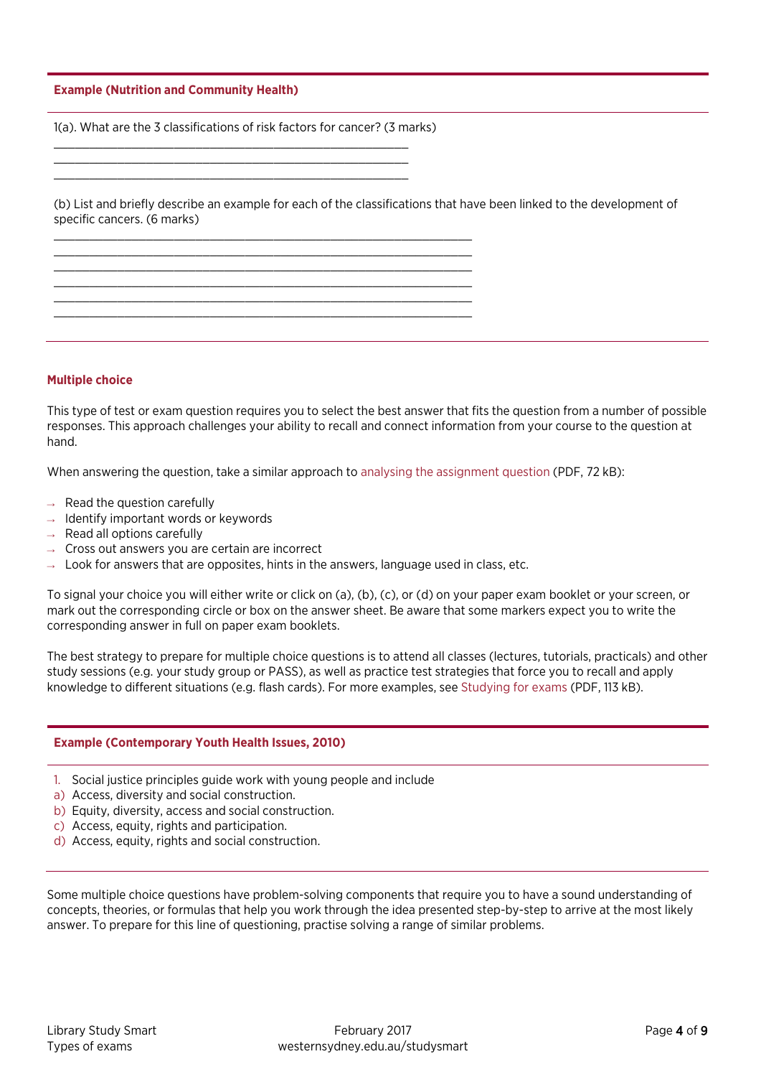#### **Example (Nutrition and Community Health)**

1(a). What are the 3 classifications of risk factors for cancer? (3 marks)

\_\_\_\_\_\_\_\_\_\_\_\_\_\_\_\_\_\_\_\_\_\_\_\_\_\_\_\_\_\_\_\_\_\_\_\_\_\_\_\_\_\_\_\_\_\_\_\_\_\_\_\_\_\_\_\_\_\_\_ \_\_\_\_\_\_\_\_\_\_\_\_\_\_\_\_\_\_\_\_\_\_\_\_\_\_\_\_\_\_\_\_\_\_\_\_\_\_\_\_\_\_\_\_\_\_\_\_\_\_\_\_\_\_\_\_\_\_\_ \_\_\_\_\_\_\_\_\_\_\_\_\_\_\_\_\_\_\_\_\_\_\_\_\_\_\_\_\_\_\_\_\_\_\_\_\_\_\_\_\_\_\_\_\_\_\_\_\_\_\_\_\_\_\_\_\_\_\_  $\_$  , and the set of the set of the set of the set of the set of the set of the set of the set of the set of the set of the set of the set of the set of the set of the set of the set of the set of the set of the set of th  $\_$  , and the set of the set of the set of the set of the set of the set of the set of the set of the set of the set of the set of the set of the set of the set of the set of the set of the set of the set of the set of th  $\_$  , and the set of the set of the set of the set of the set of the set of the set of the set of the set of the set of the set of the set of the set of the set of the set of the set of the set of the set of the set of th

\_\_\_\_\_\_\_\_\_\_\_\_\_\_\_\_\_\_\_\_\_\_\_\_\_\_\_\_\_\_\_\_\_\_\_\_\_\_\_\_\_\_\_\_\_\_\_\_\_\_ \_\_\_\_\_\_\_\_\_\_\_\_\_\_\_\_\_\_\_\_\_\_\_\_\_\_\_\_\_\_\_\_\_\_\_\_\_\_\_\_\_\_\_\_\_\_\_\_\_\_ \_\_\_\_\_\_\_\_\_\_\_\_\_\_\_\_\_\_\_\_\_\_\_\_\_\_\_\_\_\_\_\_\_\_\_\_\_\_\_\_\_\_\_\_\_\_\_\_\_\_

(b) List and briefly describe an example for each of the classifications that have been linked to the development of specific cancers. (6 marks)

#### **Multiple choice**

This type of test or exam question requires you to select the best answer that fits the question from a number of possible responses. This approach challenges your ability to recall and connect information from your course to the question at hand.

When answering the question, take a similar approach to analysing the [assignment question](https://westernsydney.edu.au/__data/assets/pdf_file/0019/1082422/Analysing_the_assignment_question.pdf) (PDF, 72 kB):

- $\rightarrow$  Read the question carefully
- $\rightarrow$  Identify important words or keywords
- $\rightarrow$  Read all options carefully
- $\rightarrow$  Cross out answers you are certain are incorrect
- $\rightarrow$  Look for answers that are opposites, hints in the answers, language used in class, etc.

To signal your choice you will either write or click on (a), (b), (c), or (d) on your paper exam booklet or your screen, or mark out the corresponding circle or box on the answer sheet. Be aware that some markers expect you to write the corresponding answer in full on paper exam booklets.

The best strategy to prepare for multiple choice questions is to attend all classes (lectures, tutorials, practicals) and other study sessions (e.g. your study group or PASS), as well as practice test strategies that force you to recall and apply knowledge to different situations (e.g. flash cards). For more examples, see [Studying for exams](https://westernsydney.edu.au/__data/assets/pdf_file/0019/1082800/Studying_for_exams.pdf) (PDF, 113 kB).

#### **Example (Contemporary Youth Health Issues, 2010)**

- 1. Social justice principles guide work with young people and include
- a) Access, diversity and social construction.
- b) Equity, diversity, access and social construction.
- c) Access, equity, rights and participation.
- d) Access, equity, rights and social construction.

Some multiple choice questions have problem-solving components that require you to have a sound understanding of concepts, theories, or formulas that help you work through the idea presented step-by-step to arrive at the most likely answer. To prepare for this line of questioning, practise solving a range of similar problems.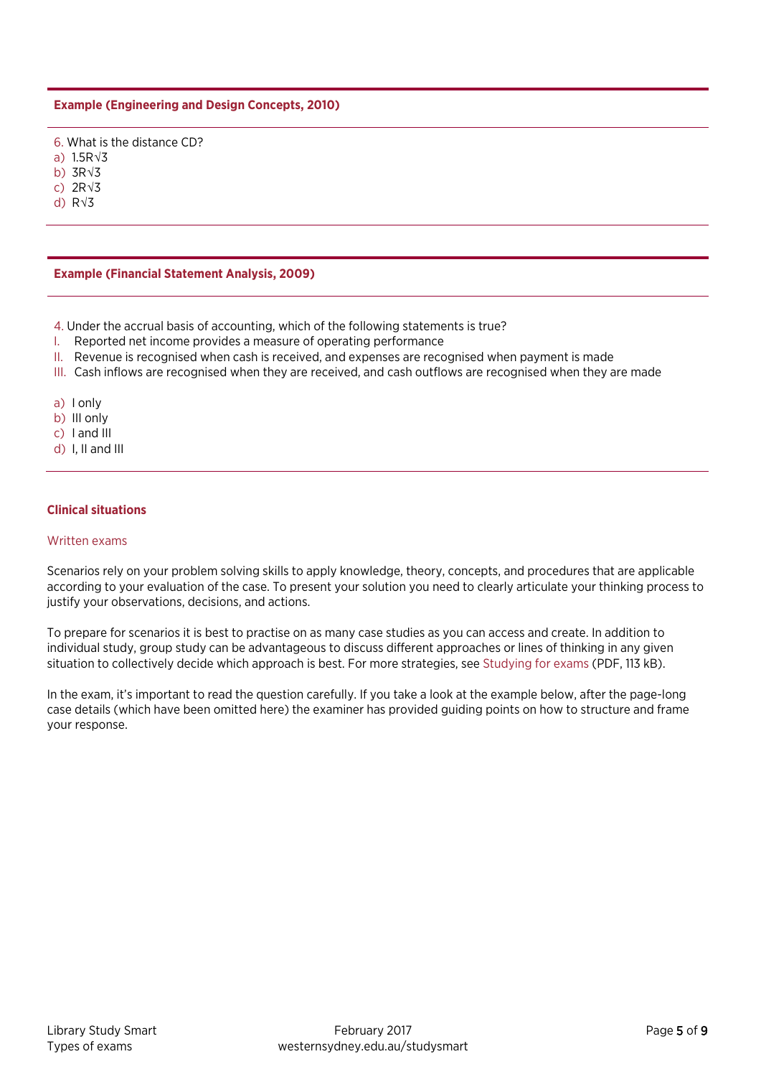#### **Example (Engineering and Design Concepts, 2010)**

6. What is the distance CD?

a) 1.5R√3

b) 3R√3

c) 2R√3 d) R√3

**Example (Financial Statement Analysis, 2009)**

4. Under the accrual basis of accounting, which of the following statements is true?

- I. Reported net income provides a measure of operating performance
- II. Revenue is recognised when cash is received, and expenses are recognised when payment is made
- III. Cash inflows are recognised when they are received, and cash outflows are recognised when they are made
- a) I only
- b) III only
- c) I and III
- d) I, II and III

#### **Clinical situations**

#### Written exams

Scenarios rely on your problem solving skills to apply knowledge, theory, concepts, and procedures that are applicable according to your evaluation of the case. To present your solution you need to clearly articulate your thinking process to justify your observations, decisions, and actions.

To prepare for scenarios it is best to practise on as many case studies as you can access and create. In addition to individual study, group study can be advantageous to discuss different approaches or lines of thinking in any given situation to collectively decide which approach is best. For more strategies, see [Studying for exams](https://westernsydney.edu.au/__data/assets/pdf_file/0019/1082800/Studying_for_exams.pdf) (PDF, 113 kB).

In the exam, it's important to read the question carefully. If you take a look at the example below, after the page-long case details (which have been omitted here) the examiner has provided guiding points on how to structure and frame your response.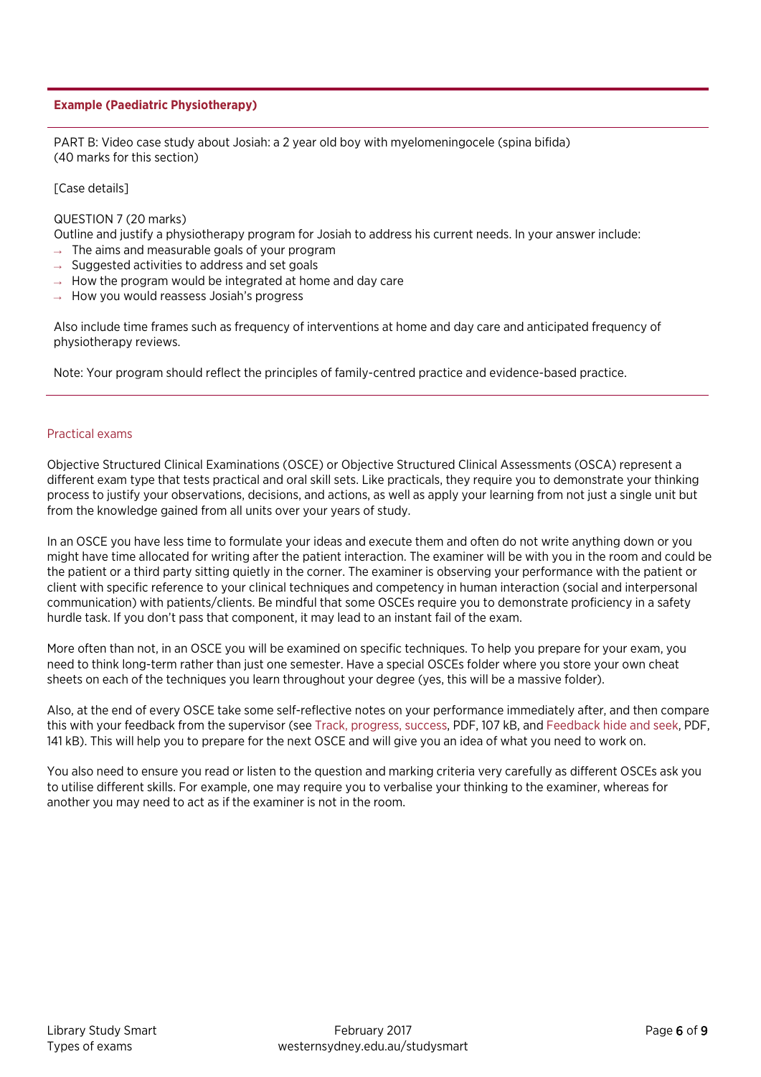#### **Example (Paediatric Physiotherapy)**

PART B: Video case study about Josiah: a 2 year old boy with myelomeningocele (spina bifida) (40 marks for this section)

[Case details]

#### QUESTION 7 (20 marks)

Outline and justify a physiotherapy program for Josiah to address his current needs. In your answer include:

- $\rightarrow$  The aims and measurable goals of your program
- $\rightarrow$  Suggested activities to address and set goals
- $\rightarrow$  How the program would be integrated at home and day care
- $\rightarrow$  How you would reassess Josiah's progress

Also include time frames such as frequency of interventions at home and day care and anticipated frequency of physiotherapy reviews.

Note: Your program should reflect the principles of family-centred practice and evidence-based practice.

#### Practical exams

Objective Structured Clinical Examinations (OSCE) or Objective Structured Clinical Assessments (OSCA) represent a different exam type that tests practical and oral skill sets. Like practicals, they require you to demonstrate your thinking process to justify your observations, decisions, and actions, as well as apply your learning from not just a single unit but from the knowledge gained from all units over your years of study.

In an OSCE you have less time to formulate your ideas and execute them and often do not write anything down or you might have time allocated for writing after the patient interaction. The examiner will be with you in the room and could be the patient or a third party sitting quietly in the corner. The examiner is observing your performance with the patient or client with specific reference to your clinical techniques and competency in human interaction (social and interpersonal communication) with patients/clients. Be mindful that some OSCEs require you to demonstrate proficiency in a safety hurdle task. If you don't pass that component, it may lead to an instant fail of the exam.

More often than not, in an OSCE you will be examined on specific techniques. To help you prepare for your exam, you need to think long-term rather than just one semester. Have a special OSCEs folder where you store your own cheat sheets on each of the techniques you learn throughout your degree (yes, this will be a massive folder).

Also, at the end of every OSCE take some self-reflective notes on your performance immediately after, and then compare this with your feedback from the supervisor (se[e Track, progress, success,](https://westernsydney.edu.au/__data/assets/pdf_file/0005/1082804/Track_progress_success.pdf) PDF, 107 kB, and [Feedback hide and seek,](https://westernsydney.edu.au/__data/assets/pdf_file/0020/1082513/Feedback_hide_and_seek.pdf) PDF, 141 kB). This will help you to prepare for the next OSCE and will give you an idea of what you need to work on.

You also need to ensure you read or listen to the question and marking criteria very carefully as different OSCEs ask you to utilise different skills. For example, one may require you to verbalise your thinking to the examiner, whereas for another you may need to act as if the examiner is not in the room.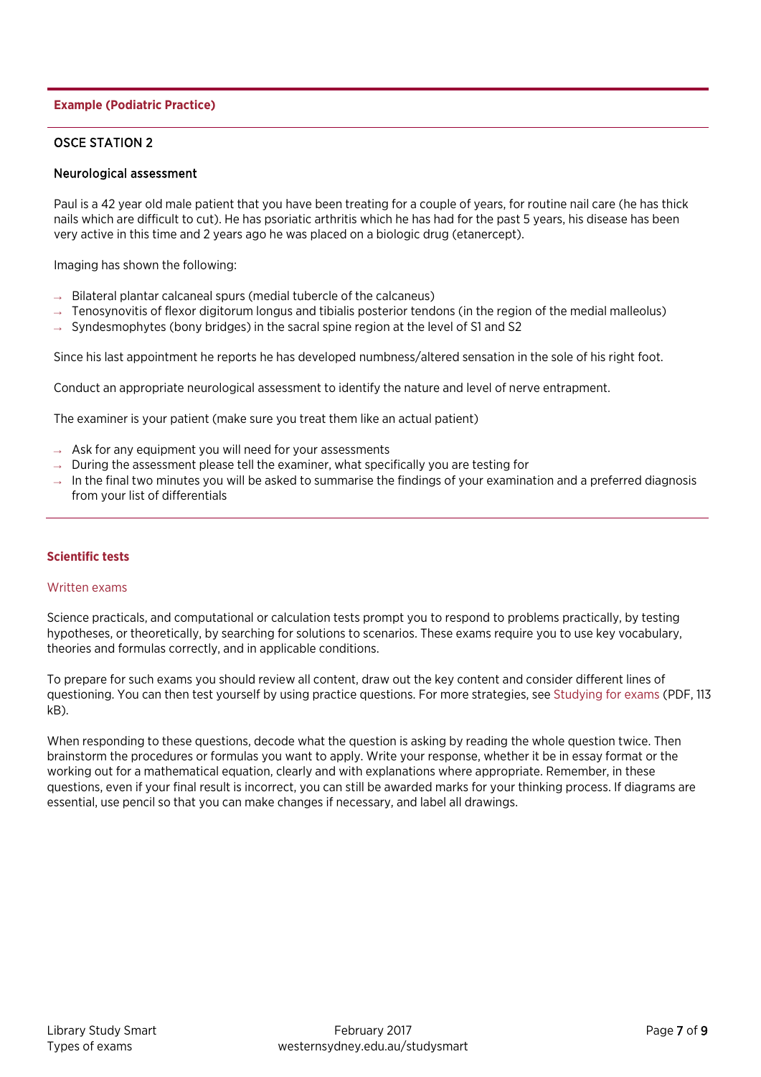#### **Example (Podiatric Practice)**

#### OSCE STATION 2

#### Neurological assessment

Paul is a 42 year old male patient that you have been treating for a couple of years, for routine nail care (he has thick nails which are difficult to cut). He has psoriatic arthritis which he has had for the past 5 years, his disease has been very active in this time and 2 years ago he was placed on a biologic drug (etanercept).

Imaging has shown the following:

- $\rightarrow$  Bilateral plantar calcaneal spurs (medial tubercle of the calcaneus)
- $\rightarrow$  Tenosynovitis of flexor digitorum longus and tibialis posterior tendons (in the region of the medial malleolus)
- $\rightarrow$  Syndesmophytes (bony bridges) in the sacral spine region at the level of S1 and S2

Since his last appointment he reports he has developed numbness/altered sensation in the sole of his right foot.

Conduct an appropriate neurological assessment to identify the nature and level of nerve entrapment.

The examiner is your patient (make sure you treat them like an actual patient)

- $\rightarrow$  Ask for any equipment you will need for your assessments
- $\rightarrow$  During the assessment please tell the examiner, what specifically you are testing for
- $\rightarrow$  In the final two minutes you will be asked to summarise the findings of your examination and a preferred diagnosis from your list of differentials

#### **Scientific tests**

#### Written exams

Science practicals, and computational or calculation tests prompt you to respond to problems practically, by testing hypotheses, or theoretically, by searching for solutions to scenarios. These exams require you to use key vocabulary, theories and formulas correctly, and in applicable conditions.

To prepare for such exams you should review all content, draw out the key content and consider different lines of questioning. You can then test yourself by using practice questions. For more strategies, see [Studying for exams \(](https://westernsydney.edu.au/__data/assets/pdf_file/0019/1082800/Studying_for_exams.pdf)PDF, 113 kB).

When responding to these questions, decode what the question is asking by reading the whole question twice. Then brainstorm the procedures or formulas you want to apply. Write your response, whether it be in essay format or the working out for a mathematical equation, clearly and with explanations where appropriate. Remember, in these questions, even if your final result is incorrect, you can still be awarded marks for your thinking process. If diagrams are essential, use pencil so that you can make changes if necessary, and label all drawings.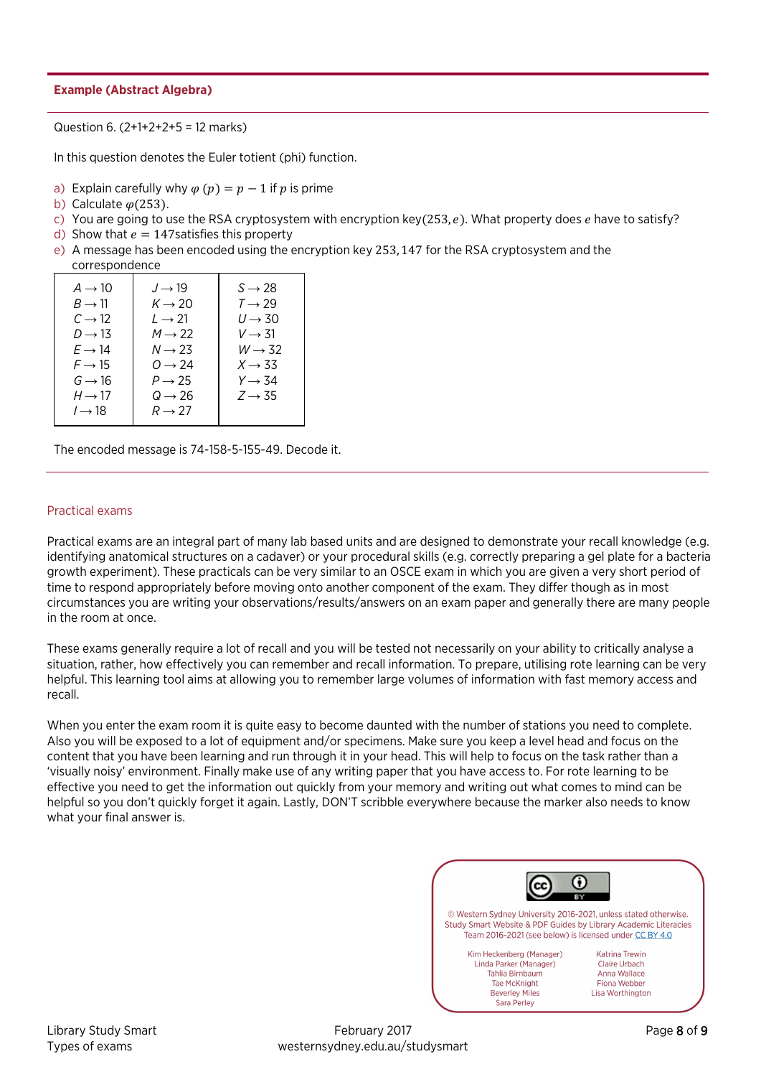#### **Example (Abstract Algebra)**

Question 6. (2+1+2+2+5 = 12 marks)

In this question denotes the Euler totient (phi) function.

- a) Explain carefully why  $\varphi(p) = p 1$  if p is prime
- b) Calculate  $\varphi$ (253).
- c) You are going to use the RSA cryptosystem with encryption key(253, e). What property does e have to satisfy?
- d) Show that  $e = 147$  satisfies this property
- e) A message has been encoded using the encryption key 253, 147 for the RSA cryptosystem and the correspondence

| $A \rightarrow 10$<br>$B \rightarrow 11$<br>$C \rightarrow 12$<br>$D \rightarrow 13$<br>$E \rightarrow 14$<br>$F \rightarrow 15$<br>$G \rightarrow 16$<br>$H \rightarrow 17$<br>$l \rightarrow 18$ | $J \rightarrow 19$<br>$K \rightarrow 20$<br>$L \rightarrow 21$<br>$M \rightarrow 22$<br>$N \rightarrow 23$<br>$Q \rightarrow 24$<br>$P \rightarrow 25$<br>$Q \rightarrow 26$<br>$R \rightarrow 27$ | $S \rightarrow 28$<br>$T \rightarrow 29$<br>$U \rightarrow 30$<br>$V \rightarrow 31$<br>$W \rightarrow 32$<br>$X \rightarrow 33$<br>$Y \rightarrow 34$<br>$Z \rightarrow 35$ |
|----------------------------------------------------------------------------------------------------------------------------------------------------------------------------------------------------|----------------------------------------------------------------------------------------------------------------------------------------------------------------------------------------------------|------------------------------------------------------------------------------------------------------------------------------------------------------------------------------|
|                                                                                                                                                                                                    |                                                                                                                                                                                                    |                                                                                                                                                                              |

The encoded message is 74-158-5-155-49. Decode it.

#### Practical exams

Practical exams are an integral part of many lab based units and are designed to demonstrate your recall knowledge (e.g. identifying anatomical structures on a cadaver) or your procedural skills (e.g. correctly preparing a gel plate for a bacteria growth experiment). These practicals can be very similar to an OSCE exam in which you are given a very short period of time to respond appropriately before moving onto another component of the exam. They differ though as in most circumstances you are writing your observations/results/answers on an exam paper and generally there are many people in the room at once.

These exams generally require a lot of recall and you will be tested not necessarily on your ability to critically analyse a situation, rather, how effectively you can remember and recall information. To prepare, utilising rote learning can be very helpful. This learning tool aims at allowing you to remember large volumes of information with fast memory access and recall.

When you enter the exam room it is quite easy to become daunted with the number of stations you need to complete. Also you will be exposed to a lot of equipment and/or specimens. Make sure you keep a level head and focus on the content that you have been learning and run through it in your head. This will help to focus on the task rather than a 'visually noisy' environment. Finally make use of any writing paper that you have access to. For rote learning to be effective you need to get the information out quickly from your memory and writing out what comes to mind can be helpful so you don't quickly forget it again. Lastly, DON'T scribble everywhere because the marker also needs to know what your final answer is.